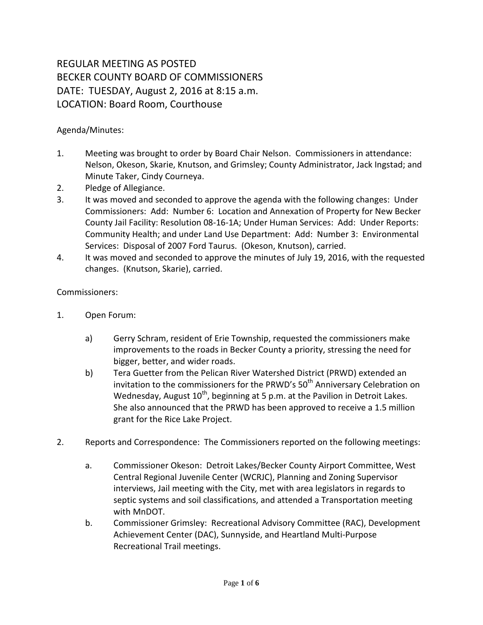## REGULAR MEETING AS POSTED BECKER COUNTY BOARD OF COMMISSIONERS DATE: TUESDAY, August 2, 2016 at 8:15 a.m. LOCATION: Board Room, Courthouse

## Agenda/Minutes:

- 1. Meeting was brought to order by Board Chair Nelson. Commissioners in attendance: Nelson, Okeson, Skarie, Knutson, and Grimsley; County Administrator, Jack Ingstad; and Minute Taker, Cindy Courneya.
- 2. Pledge of Allegiance.
- 3. It was moved and seconded to approve the agenda with the following changes: Under Commissioners: Add: Number 6: Location and Annexation of Property for New Becker County Jail Facility: Resolution 08-16-1A; Under Human Services: Add: Under Reports: Community Health; and under Land Use Department: Add: Number 3: Environmental Services: Disposal of 2007 Ford Taurus. (Okeson, Knutson), carried.
- 4. It was moved and seconded to approve the minutes of July 19, 2016, with the requested changes. (Knutson, Skarie), carried.

## Commissioners:

- 1. Open Forum:
	- a) Gerry Schram, resident of Erie Township, requested the commissioners make improvements to the roads in Becker County a priority, stressing the need for bigger, better, and wider roads.
	- b) Tera Guetter from the Pelican River Watershed District (PRWD) extended an invitation to the commissioners for the PRWD's  $50<sup>th</sup>$  Anniversary Celebration on Wednesday, August  $10^{th}$ , beginning at 5 p.m. at the Pavilion in Detroit Lakes. She also announced that the PRWD has been approved to receive a 1.5 million grant for the Rice Lake Project.
- 2. Reports and Correspondence: The Commissioners reported on the following meetings:
	- a. Commissioner Okeson: Detroit Lakes/Becker County Airport Committee, West Central Regional Juvenile Center (WCRJC), Planning and Zoning Supervisor interviews, Jail meeting with the City, met with area legislators in regards to septic systems and soil classifications, and attended a Transportation meeting with MnDOT.
	- b. Commissioner Grimsley: Recreational Advisory Committee (RAC), Development Achievement Center (DAC), Sunnyside, and Heartland Multi-Purpose Recreational Trail meetings.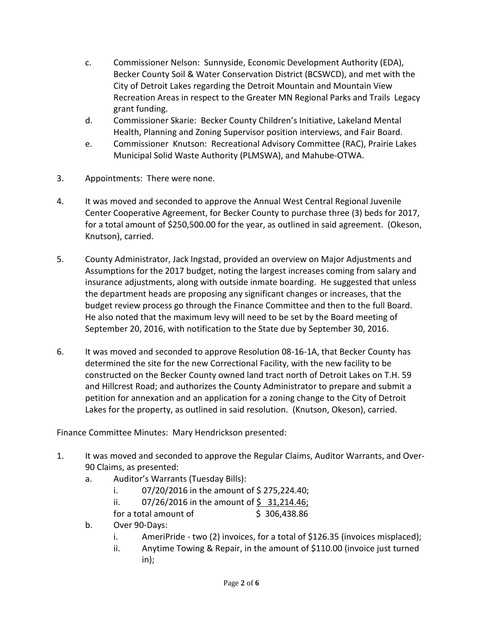- c. Commissioner Nelson: Sunnyside, Economic Development Authority (EDA), Becker County Soil & Water Conservation District (BCSWCD), and met with the City of Detroit Lakes regarding the Detroit Mountain and Mountain View Recreation Areas in respect to the Greater MN Regional Parks and Trails Legacy grant funding.
- d. Commissioner Skarie: Becker County Children's Initiative, Lakeland Mental Health, Planning and Zoning Supervisor position interviews, and Fair Board.
- e. Commissioner Knutson: Recreational Advisory Committee (RAC), Prairie Lakes Municipal Solid Waste Authority (PLMSWA), and Mahube-OTWA.
- 3. Appointments: There were none.
- 4. It was moved and seconded to approve the Annual West Central Regional Juvenile Center Cooperative Agreement, for Becker County to purchase three (3) beds for 2017, for a total amount of \$250,500.00 for the year, as outlined in said agreement. (Okeson, Knutson), carried.
- 5. County Administrator, Jack Ingstad, provided an overview on Major Adjustments and Assumptions for the 2017 budget, noting the largest increases coming from salary and insurance adjustments, along with outside inmate boarding. He suggested that unless the department heads are proposing any significant changes or increases, that the budget review process go through the Finance Committee and then to the full Board. He also noted that the maximum levy will need to be set by the Board meeting of September 20, 2016, with notification to the State due by September 30, 2016.
- 6. It was moved and seconded to approve Resolution 08-16-1A, that Becker County has determined the site for the new Correctional Facility, with the new facility to be constructed on the Becker County owned land tract north of Detroit Lakes on T.H. 59 and Hillcrest Road; and authorizes the County Administrator to prepare and submit a petition for annexation and an application for a zoning change to the City of Detroit Lakes for the property, as outlined in said resolution. (Knutson, Okeson), carried.

Finance Committee Minutes: Mary Hendrickson presented:

- 1. It was moved and seconded to approve the Regular Claims, Auditor Warrants, and Over-90 Claims, as presented:
	- a. Auditor's Warrants (Tuesday Bills):
		- i.  $07/20/2016$  in the amount of \$275,224.40;
		- ii.  $07/26/2016$  in the amount of \$ 31,214.46;

for a total amount of  $\qquad \qquad$  \$ 306,438.86

- b. Over 90-Days:
	- i. AmeriPride two (2) invoices, for a total of \$126.35 (invoices misplaced);
	- ii. Anytime Towing & Repair, in the amount of \$110.00 (invoice just turned in);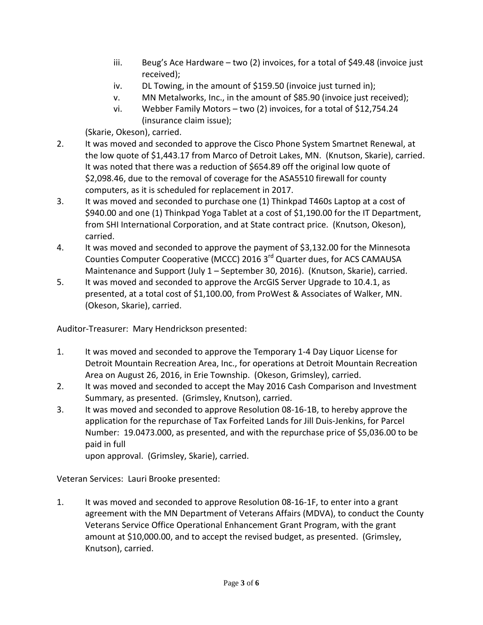- iii. Beug's Ace Hardware two (2) invoices, for a total of \$49.48 (invoice just received);
- iv. DL Towing, in the amount of \$159.50 (invoice just turned in);
- v. MN Metalworks, Inc., in the amount of \$85.90 (invoice just received);
- vi. Webber Family Motors two (2) invoices, for a total of \$12,754.24 (insurance claim issue);

(Skarie, Okeson), carried.

- 2. It was moved and seconded to approve the Cisco Phone System Smartnet Renewal, at the low quote of \$1,443.17 from Marco of Detroit Lakes, MN. (Knutson, Skarie), carried. It was noted that there was a reduction of \$654.89 off the original low quote of \$2,098.46, due to the removal of coverage for the ASA5510 firewall for county computers, as it is scheduled for replacement in 2017.
- 3. It was moved and seconded to purchase one (1) Thinkpad T460s Laptop at a cost of \$940.00 and one (1) Thinkpad Yoga Tablet at a cost of \$1,190.00 for the IT Department, from SHI International Corporation, and at State contract price. (Knutson, Okeson), carried.
- 4. It was moved and seconded to approve the payment of \$3,132.00 for the Minnesota Counties Computer Cooperative (MCCC) 2016 3rd Quarter dues, for ACS CAMAUSA Maintenance and Support (July 1 – September 30, 2016). (Knutson, Skarie), carried.
- 5. It was moved and seconded to approve the ArcGIS Server Upgrade to 10.4.1, as presented, at a total cost of \$1,100.00, from ProWest & Associates of Walker, MN. (Okeson, Skarie), carried.

Auditor-Treasurer: Mary Hendrickson presented:

- 1. It was moved and seconded to approve the Temporary 1-4 Day Liquor License for Detroit Mountain Recreation Area, Inc., for operations at Detroit Mountain Recreation Area on August 26, 2016, in Erie Township. (Okeson, Grimsley), carried.
- 2. It was moved and seconded to accept the May 2016 Cash Comparison and Investment Summary, as presented. (Grimsley, Knutson), carried.
- 3. It was moved and seconded to approve Resolution 08-16-1B, to hereby approve the application for the repurchase of Tax Forfeited Lands for Jill Duis-Jenkins, for Parcel Number: 19.0473.000, as presented, and with the repurchase price of \$5,036.00 to be paid in full

upon approval. (Grimsley, Skarie), carried.

Veteran Services: Lauri Brooke presented:

1. It was moved and seconded to approve Resolution 08-16-1F, to enter into a grant agreement with the MN Department of Veterans Affairs (MDVA), to conduct the County Veterans Service Office Operational Enhancement Grant Program, with the grant amount at \$10,000.00, and to accept the revised budget, as presented. (Grimsley, Knutson), carried.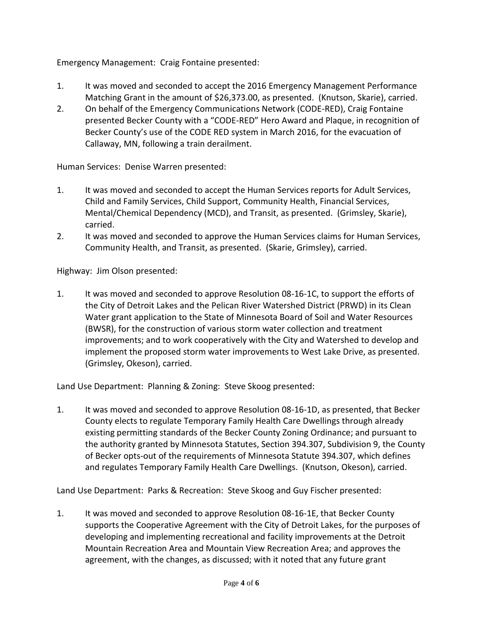Emergency Management: Craig Fontaine presented:

- 1. It was moved and seconded to accept the 2016 Emergency Management Performance Matching Grant in the amount of \$26,373.00, as presented. (Knutson, Skarie), carried.
- 2. On behalf of the Emergency Communications Network (CODE-RED), Craig Fontaine presented Becker County with a "CODE-RED" Hero Award and Plaque, in recognition of Becker County's use of the CODE RED system in March 2016, for the evacuation of Callaway, MN, following a train derailment.

Human Services: Denise Warren presented:

- 1. It was moved and seconded to accept the Human Services reports for Adult Services, Child and Family Services, Child Support, Community Health, Financial Services, Mental/Chemical Dependency (MCD), and Transit, as presented. (Grimsley, Skarie), carried.
- 2. It was moved and seconded to approve the Human Services claims for Human Services, Community Health, and Transit, as presented. (Skarie, Grimsley), carried.

Highway: Jim Olson presented:

1. It was moved and seconded to approve Resolution 08-16-1C, to support the efforts of the City of Detroit Lakes and the Pelican River Watershed District (PRWD) in its Clean Water grant application to the State of Minnesota Board of Soil and Water Resources (BWSR), for the construction of various storm water collection and treatment improvements; and to work cooperatively with the City and Watershed to develop and implement the proposed storm water improvements to West Lake Drive, as presented. (Grimsley, Okeson), carried.

Land Use Department: Planning & Zoning: Steve Skoog presented:

1. It was moved and seconded to approve Resolution 08-16-1D, as presented, that Becker County elects to regulate Temporary Family Health Care Dwellings through already existing permitting standards of the Becker County Zoning Ordinance; and pursuant to the authority granted by Minnesota Statutes, Section 394.307, Subdivision 9, the County of Becker opts-out of the requirements of Minnesota Statute 394.307, which defines and regulates Temporary Family Health Care Dwellings. (Knutson, Okeson), carried.

Land Use Department: Parks & Recreation: Steve Skoog and Guy Fischer presented:

1. It was moved and seconded to approve Resolution 08-16-1E, that Becker County supports the Cooperative Agreement with the City of Detroit Lakes, for the purposes of developing and implementing recreational and facility improvements at the Detroit Mountain Recreation Area and Mountain View Recreation Area; and approves the agreement, with the changes, as discussed; with it noted that any future grant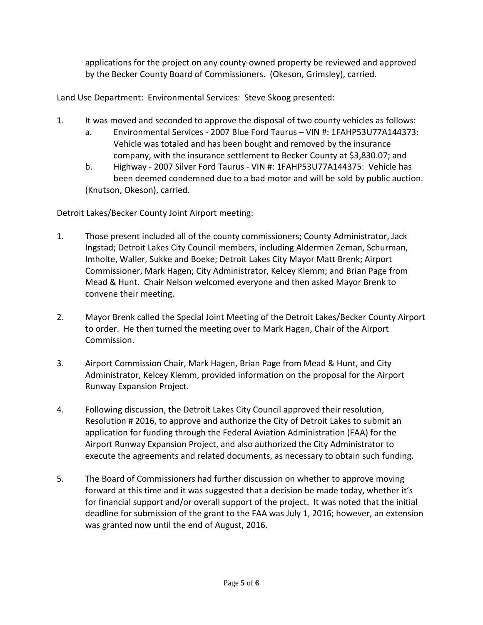applications for the project on any county-owned property be reviewed and approved by the Becker County Board of Commissioners. (Okeson, Grimsley), carried.

Land Use Department: Environmental Services: Steve Skoog presented:

- 1. It was moved and seconded to approve the disposal of two county vehicles as follows:
	- a. Environmental Services 2007 Blue Ford Taurus VIN #: 1FAHP53U77A144373: Vehicle was totaled and has been bought and removed by the insurance company, with the insurance settlement to Becker County at \$3,830.07; and
	- b. Highway 2007 Silver Ford Taurus VIN #: 1FAHP53U77A144375: Vehicle has been deemed condemned due to a bad motor and will be sold by public auction. (Knutson, Okeson), carried.

Detroit Lakes/Becker County Joint Airport meeting:

- 1. Those present included all of the county commissioners; County Administrator, Jack Ingstad; Detroit Lakes City Council members, including Aldermen Zeman, Schurman, Imholte, Waller, Sukke and Boeke; Detroit Lakes City Mayor Matt Brenk; Airport Commissioner, Mark Hagen; City Administrator, Kelcey Klemm; and Brian Page from Mead & Hunt. Chair Nelson welcomed everyone and then asked Mayor Brenk to convene their meeting.
- 2. Mayor Brenk called the Special Joint Meeting of the Detroit Lakes/Becker County Airport to order. He then turned the meeting over to Mark Hagen, Chair of the Airport Commission.
- 3. Airport Commission Chair, Mark Hagen, Brian Page from Mead & Hunt, and City Administrator, Kelcey Klemm, provided information on the proposal for the Airport Runway Expansion Project.
- 4. Following discussion, the Detroit Lakes City Council approved their resolution, Resolution # 2016, to approve and authorize the City of Detroit Lakes to submit an application for funding through the Federal Aviation Administration (FAA) for the Airport Runway Expansion Project, and also authorized the City Administrator to execute the agreements and related documents, as necessary to obtain such funding.
- 5. The Board of Commissioners had further discussion on whether to approve moving forward at this time and it was suggested that a decision be made today, whether it's for financial support and/or overall support of the project. It was noted that the initial deadline for submission of the grant to the FAA was July 1, 2016; however, an extension was granted now until the end of August, 2016.